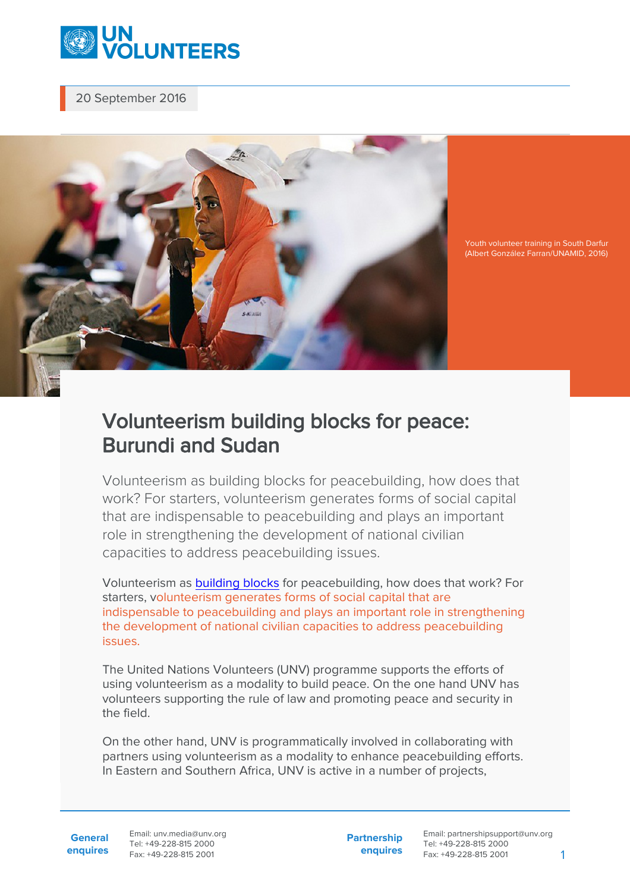

20 September 2016



Youth volunteer training in South Darfur (Albert González Farran/UNAMID, 2016)

## Volunteerism building blocks for peace: Burundi and Sudan

Volunteerism as building blocks for peacebuilding, how does that work? For starters, volunteerism generates forms of social capital that are indispensable to peacebuilding and plays an important role in strengthening the development of national civilian capacities to address peacebuilding issues.

Volunteerism as [building blocks](http://www.un.org/en/events/peaceday/) for peacebuilding, how does that work? For starters, volunteerism generates forms of social capital that are indispensable to peacebuilding and plays an important role in strengthening the development of national civilian capacities to address peacebuilding issues.

The United Nations Volunteers (UNV) programme supports the efforts of using volunteerism as a modality to build peace. On the one hand UNV has volunteers supporting the rule of law and promoting peace and security in the field.

On the other hand, UNV is programmatically involved in collaborating with partners using volunteerism as a modality to enhance peacebuilding efforts. In Eastern and Southern Africa, UNV is active in a number of projects,

**General enquires** Email: unv.media@unv.org Tel: +49-228-815 2000 Fax: +49-228-815 2001

**Partnership enquires**

Email: partnershipsupport@unv.org Tel: +49-228-815 2000 Fax: +49-228-815 2001 1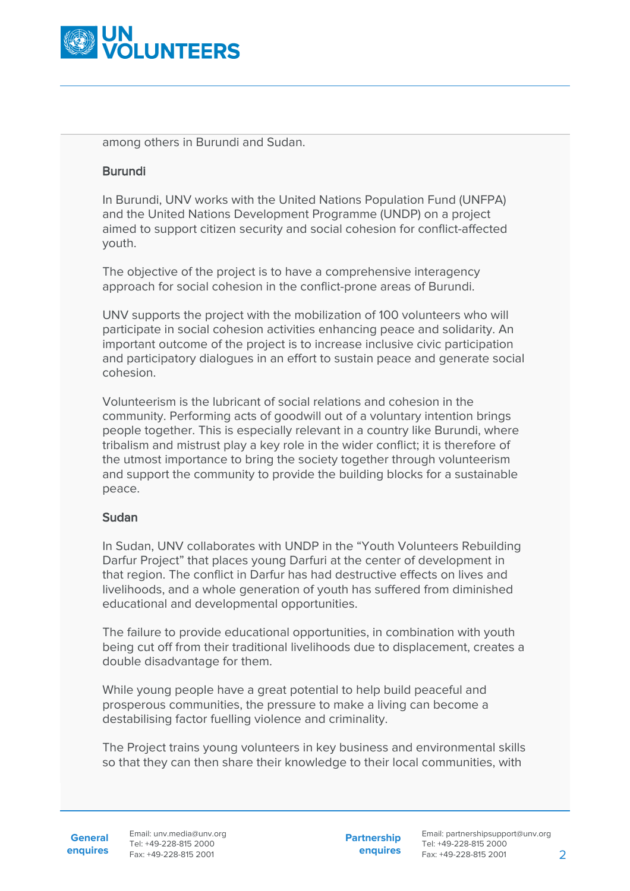

among others in Burundi and Sudan.

## Burundi

In Burundi, UNV works with the United Nations Population Fund (UNFPA) and the United Nations Development Programme (UNDP) on a project aimed to support citizen security and social cohesion for conflict-affected youth.

The objective of the project is to have a comprehensive interagency approach for social cohesion in the conflict-prone areas of Burundi.

UNV supports the project with the mobilization of 100 volunteers who will participate in social cohesion activities enhancing peace and solidarity. An important outcome of the project is to increase inclusive civic participation and participatory dialogues in an effort to sustain peace and generate social cohesion.

Volunteerism is the lubricant of social relations and cohesion in the community. Performing acts of goodwill out of a voluntary intention brings people together. This is especially relevant in a country like Burundi, where tribalism and mistrust play a key role in the wider conflict; it is therefore of the utmost importance to bring the society together through volunteerism and support the community to provide the building blocks for a sustainable peace.

## Sudan

In Sudan, UNV collaborates with UNDP in the "Youth Volunteers Rebuilding Darfur Project" that places young Darfuri at the center of development in that region. The conflict in Darfur has had destructive effects on lives and livelihoods, and a whole generation of youth has suffered from diminished educational and developmental opportunities.

The failure to provide educational opportunities, in combination with youth being cut off from their traditional livelihoods due to displacement, creates a double disadvantage for them.

While young people have a great potential to help build peaceful and prosperous communities, the pressure to make a living can become a destabilising factor fuelling violence and criminality.

The Project trains young volunteers in key business and environmental skills so that they can then share their knowledge to their local communities, with

**General enquires** **Partnership enquires**